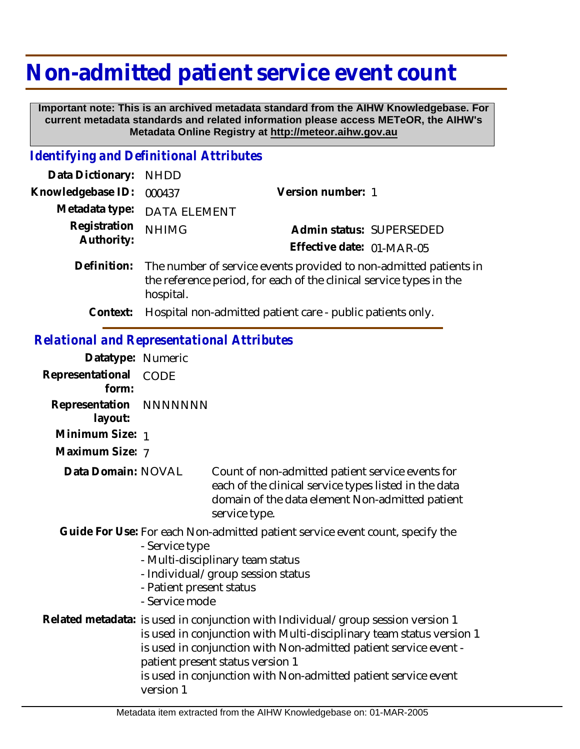## **Non-admitted patient service event count**

 **Important note: This is an archived metadata standard from the AIHW Knowledgebase. For current metadata standards and related information please access METeOR, the AIHW's Metadata Online Registry at http://meteor.aihw.gov.au**

## *Identifying and Definitional Attributes*

| Data Dictionary: NHDD      |                                                                                                                                                                   |                                                       |  |
|----------------------------|-------------------------------------------------------------------------------------------------------------------------------------------------------------------|-------------------------------------------------------|--|
| Knowledgebase ID:          | 000437                                                                                                                                                            | Version number: 1                                     |  |
|                            | Metadata type: DATA ELEMENT                                                                                                                                       |                                                       |  |
| Registration<br>Authority: | <b>NHIMG</b>                                                                                                                                                      | Admin status: SUPERSEDED<br>Effective date: 01-MAR-05 |  |
|                            | Definition: The number of service events provided to non-admitted patients in<br>the reference period, for each of the clinical service types in the<br>hospital. |                                                       |  |

**Context:** Hospital non-admitted patient care - public patients only.

## *Relational and Representational Attributes*

| Datatype: Numeric         |                                                                                                                                                                                                                                                                                                                                                 |                                                                                                                                                                               |
|---------------------------|-------------------------------------------------------------------------------------------------------------------------------------------------------------------------------------------------------------------------------------------------------------------------------------------------------------------------------------------------|-------------------------------------------------------------------------------------------------------------------------------------------------------------------------------|
| Representational<br>form: | <b>CODE</b>                                                                                                                                                                                                                                                                                                                                     |                                                                                                                                                                               |
| Representation<br>layout: | NNNNNNN                                                                                                                                                                                                                                                                                                                                         |                                                                                                                                                                               |
| Minimum Size: 1           |                                                                                                                                                                                                                                                                                                                                                 |                                                                                                                                                                               |
| Maximum Size: 7           |                                                                                                                                                                                                                                                                                                                                                 |                                                                                                                                                                               |
| Data Domain: NOVAL        |                                                                                                                                                                                                                                                                                                                                                 | Count of non-admitted patient service events for<br>each of the clinical service types listed in the data<br>domain of the data element Non-admitted patient<br>service type. |
|                           | Guide For Use: For each Non-admitted patient service event count, specify the<br>- Service type<br>- Multi-disciplinary team status<br>- Individual/group session status<br>- Patient present status<br>- Service mode                                                                                                                          |                                                                                                                                                                               |
|                           | Related metadata: is used in conjunction with Individual/group session version 1<br>is used in conjunction with Multi-disciplinary team status version 1<br>is used in conjunction with Non-admitted patient service event -<br>patient present status version 1<br>is used in conjunction with Non-admitted patient service event<br>version 1 |                                                                                                                                                                               |